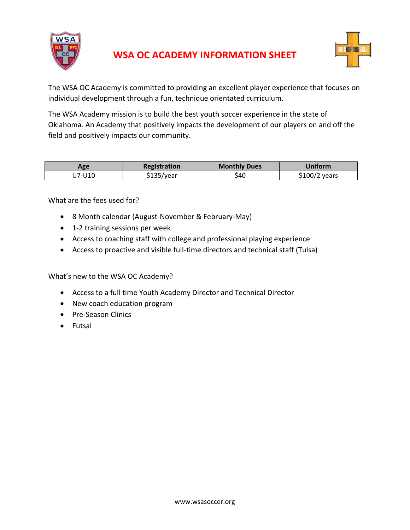



The WSA OC Academy is committed to providing an excellent player experience that focuses on individual development through a fun, technique orientated curriculum.

The WSA Academy mission is to build the best youth soccer experience in the state of Oklahoma. An Academy that positively impacts the development of our players on and off the field and positively impacts our community.

| Age    | Registration | <b>Monthly Dues</b> | Jniform       |
|--------|--------------|---------------------|---------------|
| J7-U10 | \$135/year   | \$40                | \$100/2 years |

What are the fees used for?

- 8 Month calendar (August-November & February-May)
- 1-2 training sessions per week
- Access to coaching staff with college and professional playing experience
- Access to proactive and visible full-time directors and technical staff (Tulsa)

What's new to the WSA OC Academy?

- Access to a full time Youth Academy Director and Technical Director
- New coach education program
- Pre-Season Clinics
- Futsal